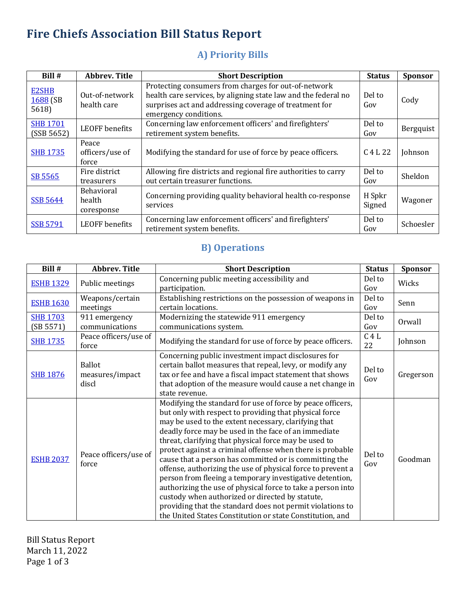# **Fire Chiefs Association Bill Status Report**

### **A) Priority Bills**

| Bill #                            | <b>Abbrev. Title</b>               | <b>Short Description</b>                                                                                                                                                                                  | <b>Status</b>    | <b>Sponsor</b> |
|-----------------------------------|------------------------------------|-----------------------------------------------------------------------------------------------------------------------------------------------------------------------------------------------------------|------------------|----------------|
| <b>E2SHB</b><br>1688 (SB<br>5618) | Out-of-network<br>health care      | Protecting consumers from charges for out-of-network<br>health care services, by aligning state law and the federal no<br>surprises act and addressing coverage of treatment for<br>emergency conditions. | Del to<br>Gov    | Cody           |
| <b>SHB 1701</b><br>(SSB 5652)     | <b>LEOFF</b> benefits              | Concerning law enforcement officers' and firefighters'<br>retirement system benefits.                                                                                                                     | Del to<br>Gov    | Bergquist      |
| <b>SHB 1735</b>                   | Peace<br>officers/use of<br>force  | Modifying the standard for use of force by peace officers.                                                                                                                                                | C 4 L 22         | Johnson        |
| SB 5565                           | Fire district<br>treasurers        | Allowing fire districts and regional fire authorities to carry<br>out certain treasurer functions.                                                                                                        | Del to<br>Gov    | Sheldon        |
| <b>SSB 5644</b>                   | Behavioral<br>health<br>coresponse | Concerning providing quality behavioral health co-response<br>services                                                                                                                                    | H Spkr<br>Signed | Wagoner        |
| <b>SSB 5791</b>                   | <b>LEOFF</b> benefits              | Concerning law enforcement officers' and firefighters'<br>retirement system benefits.                                                                                                                     | Del to<br>Gov    | Schoesler      |

#### **B)** Operations

| Bill #                       | <b>Abbrev. Title</b>                      | <b>Short Description</b>                                                                                                                                                                                                                                                                                                                                                                                                                                                                                                                                                                                                                                                                                                                                                                    | <b>Status</b> | Sponsor   |
|------------------------------|-------------------------------------------|---------------------------------------------------------------------------------------------------------------------------------------------------------------------------------------------------------------------------------------------------------------------------------------------------------------------------------------------------------------------------------------------------------------------------------------------------------------------------------------------------------------------------------------------------------------------------------------------------------------------------------------------------------------------------------------------------------------------------------------------------------------------------------------------|---------------|-----------|
| <b>ESHB 1329</b>             | Public meetings                           | Concerning public meeting accessibility and<br>participation.                                                                                                                                                                                                                                                                                                                                                                                                                                                                                                                                                                                                                                                                                                                               | Del to<br>Gov | Wicks     |
| <b>ESHB 1630</b>             | Weapons/certain<br>meetings               | Establishing restrictions on the possession of weapons in<br>certain locations.                                                                                                                                                                                                                                                                                                                                                                                                                                                                                                                                                                                                                                                                                                             | Del to<br>Gov | Senn      |
| <b>SHB 1703</b><br>(SB 5571) | 911 emergency<br>communications           | Modernizing the statewide 911 emergency<br>communications system.                                                                                                                                                                                                                                                                                                                                                                                                                                                                                                                                                                                                                                                                                                                           | Del to<br>Gov | Orwall    |
| <b>SHB 1735</b>              | Peace officers/use of<br>force            | Modifying the standard for use of force by peace officers.                                                                                                                                                                                                                                                                                                                                                                                                                                                                                                                                                                                                                                                                                                                                  | C4L<br>22     | Johnson   |
| <b>SHB 1876</b>              | <b>Ballot</b><br>measures/impact<br>discl | Concerning public investment impact disclosures for<br>certain ballot measures that repeal, levy, or modify any<br>tax or fee and have a fiscal impact statement that shows<br>that adoption of the measure would cause a net change in<br>state revenue.                                                                                                                                                                                                                                                                                                                                                                                                                                                                                                                                   | Del to<br>Gov | Gregerson |
| <b>ESHB 2037</b>             | Peace officers/use of<br>force            | Modifying the standard for use of force by peace officers,<br>but only with respect to providing that physical force<br>may be used to the extent necessary, clarifying that<br>deadly force may be used in the face of an immediate<br>threat, clarifying that physical force may be used to<br>protect against a criminal offense when there is probable<br>cause that a person has committed or is committing the<br>offense, authorizing the use of physical force to prevent a<br>person from fleeing a temporary investigative detention,<br>authorizing the use of physical force to take a person into<br>custody when authorized or directed by statute,<br>providing that the standard does not permit violations to<br>the United States Constitution or state Constitution, and | Del to<br>Gov | Goodman   |

**Bill Status Report** March 11, 2022 Page 1 of 3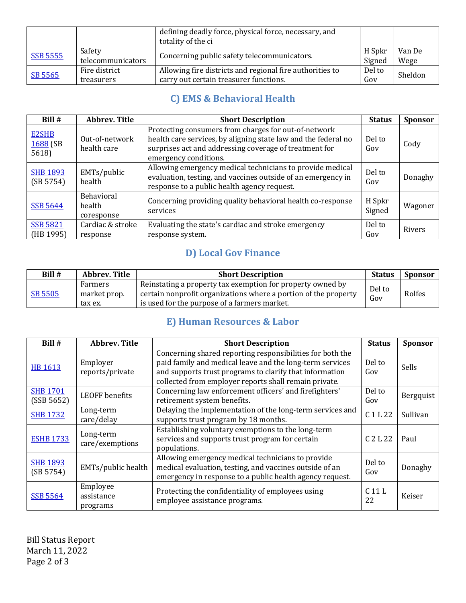|                 |                             | defining deadly force, physical force, necessary, and<br>totality of the ci                        |                  |                |
|-----------------|-----------------------------|----------------------------------------------------------------------------------------------------|------------------|----------------|
| <b>SSB 5555</b> | Safety<br>telecommunicators | Concerning public safety telecommunicators.                                                        | H Spkr<br>Signed | Van De<br>Wege |
| SB 5565         | Fire district<br>treasurers | Allowing fire districts and regional fire authorities to<br>carry out certain treasurer functions. | Del to<br>Gov    | Sheldon        |

#### **C) EMS & Behavioral Health**

| Bill #                            | <b>Abbrev. Title</b>                      | <b>Short Description</b>                                                                                                                                                                                  | <b>Status</b>    | <b>Sponsor</b> |
|-----------------------------------|-------------------------------------------|-----------------------------------------------------------------------------------------------------------------------------------------------------------------------------------------------------------|------------------|----------------|
| <b>E2SHB</b><br>1688 (SB<br>5618) | Out-of-network<br>health care             | Protecting consumers from charges for out-of-network<br>health care services, by aligning state law and the federal no<br>surprises act and addressing coverage of treatment for<br>emergency conditions. | Del to<br>Gov    | Cody           |
| <b>SHB 1893</b><br>(SB 5754)      | EMTs/public<br>health                     | Allowing emergency medical technicians to provide medical<br>evaluation, testing, and vaccines outside of an emergency in<br>response to a public health agency request.                                  | Del to<br>Gov    | Donaghy        |
| <b>SSB 5644</b>                   | <b>Behavioral</b><br>health<br>coresponse | Concerning providing quality behavioral health co-response<br>services                                                                                                                                    | H Spkr<br>Signed | Wagoner        |
| <b>SSB 5821</b><br>(HB 1995)      | Cardiac & stroke<br>response              | Evaluating the state's cardiac and stroke emergency<br>response system.                                                                                                                                   | Del to<br>Gov    | Rivers         |

## **D)** Local Gov Finance

| Bill #         | Abbrev. Title                      | <b>Short Description</b>                                                                                                                                                      | <b>Status</b> | <b>Sponsor</b> |
|----------------|------------------------------------|-------------------------------------------------------------------------------------------------------------------------------------------------------------------------------|---------------|----------------|
| <b>SB 5505</b> | Farmers<br>market prop.<br>tax ex. | Reinstating a property tax exemption for property owned by<br>certain nonprofit organizations where a portion of the property<br>is used for the purpose of a farmers market. | Del to<br>Gov | Rolfes         |

#### **E)** Human Resources & Labor

| Bill #                        | <b>Abbrev. Title</b>               | <b>Short Description</b>                                                                                                                                                                                                                  | <b>Status</b>           | <b>Sponsor</b> |
|-------------------------------|------------------------------------|-------------------------------------------------------------------------------------------------------------------------------------------------------------------------------------------------------------------------------------------|-------------------------|----------------|
| <b>HB 1613</b>                | Employer<br>reports/private        | Concerning shared reporting responsibilities for both the<br>paid family and medical leave and the long-term services<br>and supports trust programs to clarify that information<br>collected from employer reports shall remain private. | Del to<br>Gov           | <b>Sells</b>   |
| <b>SHB 1701</b><br>(SSB 5652) | LEOFF benefits                     | Concerning law enforcement officers' and firefighters'<br>retirement system benefits.                                                                                                                                                     | Del to<br>Gov           | Bergquist      |
| <b>SHB 1732</b>               | Long-term<br>care/delay            | Delaying the implementation of the long-term services and<br>supports trust program by 18 months.                                                                                                                                         | C 1 L 22                | Sullivan       |
| <b>ESHB 1733</b>              | Long-term<br>care/exemptions       | Establishing voluntary exemptions to the long-term<br>services and supports trust program for certain<br>populations.                                                                                                                     | C 2 L 22                | Paul           |
| <b>SHB 1893</b><br>(SB 5754)  | EMTs/public health                 | Allowing emergency medical technicians to provide<br>medical evaluation, testing, and vaccines outside of an<br>emergency in response to a public health agency request.                                                                  | Del to<br>Gov           | Donaghy        |
| <b>SSB 5564</b>               | Employee<br>assistance<br>programs | Protecting the confidentiality of employees using<br>employee assistance programs.                                                                                                                                                        | C <sub>11</sub> L<br>22 | Keiser         |

**Bill Status Report** March 11, 2022 Page 2 of 3